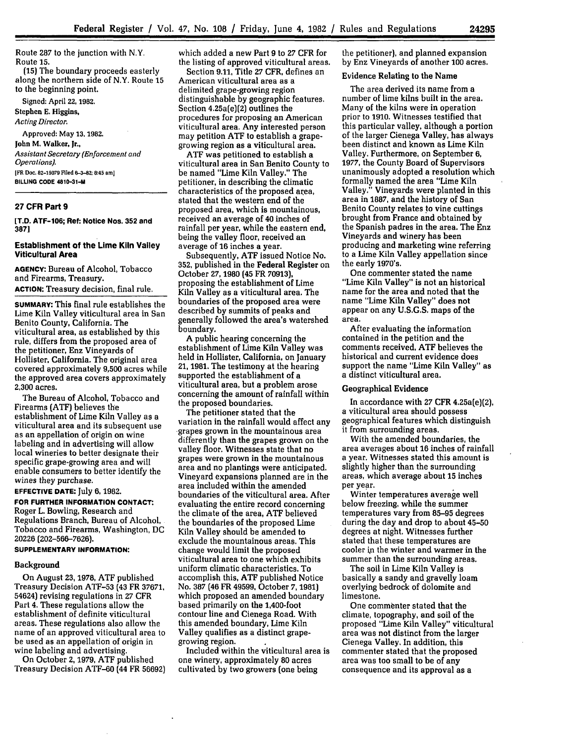Route 287 to the junction with N.Y. Route **15.**

**(15)** The boundary proceeds easterly along the northern side of N.Y. Route 15 to the beginning point.

Signed: April 22, 1982.

Stephen **E.** Higgins, *Acting Director.*

Approved: May **13, 1982.** John **M.** Walker, Jr., *Assistant Secretary (Enforcement and Operations).* **IFR Doc. 82-15079 Filed 6-3-82; 8:45 am] BILLING CODE 4810-31-M**

### **27 CFR Part 9**

**[T.D. ATF-106; Ref: Notice Nos. 352 and 387]**

### **Establishment of the Lime Kiln Valley Viticultural Area**

**AGENCY:** Bureau of Alcohol, Tobacco and Firearms, Treasury. **ACTION: Treasury** decision, final rule.

**SUMMARY: This** final **rule** establishes the Lime Kiln Valley viticultural area in San Benito County, California. The viticultural area, as established **by** this rule, differs from the proposed area of the petitioner, Enz Vineyards of Hollister, California. The original area covered approximately **9,500** acres while the approved area covers approximately **2,300** acres.

The Bureau of Alcohol, Tobacco and Firearms (ATF) believes the establishment of Lime Kiln Valley as a viticultural area and its subsequent use as an appellation of origin on wine labeling and in advertising will allow local wineries to better designate their specific grape-growing area and will enable consumers to better identify the wines they purchase.

**EFFECTIVE DATE:** July **6,** 1982.

**FOR FURTHER INFORMATION CONTACT:** Roger L. Bowling, Research and Regulations Branch, Bureau of Alcohol, Tobacco and Firearms, Washington, DC **20226 (202-566-7626).**

#### **SUPPLEMENTARY INFORMATION:**

#### Background

On August **23, 1978, ATF** published Treasury Decision ATF-53 (43 FR **37671,** 54624) revising regulations in 27 CFR Part 4. These regulations allow the establishment of definite viticultural areas. These regulations also allow the name of an approved viticultural area to be used as an appellation of origin in wine labeling and advertising.

On October **2,** 1979, ATF published Treasury Decision ATF-60 (44 FR 56692) which added a new Part **9** to 27 CFR for the listing of approved viticultural areas. Section 9.11, Title 27 CFR, defines an American viticultural area as a delimited grape-growing region distinguishable by geographic features. Section 4.25a(e)(2) outlines the procedures for proposing an American viticultural area. Any interested person may petition **ATF** to establish a grape-

growing region as a viticultural area. viticultural area in San Benito County to be named "Lime Kiln Valley." The petitioner, in describing the climatic characteristics of the proposed area, stated that the western end of the proposed area, which is mountainous, received an average of 40 inches of rainfall per year, while the eastern end, being the valley floor, received an average of **16** inches a year.

Subsequently, **ATF** issued Notice No. **352,** published in the Federal Register on October 27, **1980** (45 FR **70913),** proposing the establishment of Lime Kiln Valley as a viticultural area. The boundaries of the proposed area were described by summits of peaks and generally followed the area's watershed boundary.

A public hearing concerning the establishment of Lime Kiln Valley was held in Hollister, California, on January 21, 1981. The testimony at the hearing supported the establishment of a viticultural area, but a problem arose concerning the amount of rainfall within the proposed boundaries.

The petitioner stated that the variation in the rainfall would affect any -grapes grown in the mountainous area differently than the grapes grown on the valley floor. Witnesses state that no grapes were grown in the mountainous area and no plantings were anticipated. Vineyard expansions planned are in the area included within the amended boundaries of the viticultural area. After evaluating the entire record concerning the climate of the area, **ATF** believed the boundaries of the proposed Lime Kiln Valley should be amended to exclude the mountainous areas. This change would limit the proposed viticultural area to one which exhibits uniform climatic characteristics. To accomplish this, **ATF** published Notice No. **387** (46 FR 49599, October **7,** 1981) which proposed an amended boundary based primarily on the 1,400-foot contour line and Cienega Road. With this amended boundary, Lime Kiln Valley qualifies as a distinct grapegrowing region.

Included within the viticultural area is one winery, approximately **80** acres cultivated by two growers (one being

the petitioner), and planned expansion **by** Enz Vineyards of another 100 acres.

#### Evidence Relating to the Name

The area derived its name from a number of lime kilns built in the area. Many of the kilns were in operation prior to **1910.** Witnesses testified that this particular valley, although a portion of the larger Cienega Valley, has always been distinct and known as Lime Kiln Valley. Furthermore, on September **6, 1977,** the County Board of Supervisors unanimously adopted a resolution which formally named the area "Lime Kiln Valley." Vineyards were planted in this area in **1887,** and the history of San Benito County relates to vine cuttings brought from France and obtained **by** the Spanish padres in the area. The Enz Vineyards and winery has been producing and marketing wine referring to a Lime Kiln Valley appellation since the early 1970's.

One commenter stated the name "Lime Kiln Valley" is not an historical name for the area and noted that the name "Lime Kiln Valley" does not appear on any **U.S.G.S.** maps of the area.

After evaluating the information contained in the petition and the comments received, **ATF** believes the historical and current evidence does support the name "Lime Kiln Valley" as a distinct viticultural area.

### Geographical Evidence

In accordance with **27** CFR 4.25a(e)(2), a viticultural area should possess geographical features which distinguish it from surrounding areas.

With the amended boundaries, the area averages about **16** inches of rainfall a year. Witnesses stated this amount is slightly higher than the surrounding areas, which average about **15** inches per year.

Winter temperatures average well below freezing, while the summer temperatures vary from **85-95** degrees during the day and drop to about 45-50 degrees at night. Witnesses further stated that these temperatures are cooler **in** the winter and warmer in the summer than the surrounding areas.

The soil in Lime Kiln Valley is basically a sandy and gravelly loam overlying bedrock of dolomite and limestone.

One commenter stated that the climate, topography, and soil of the proposed "Lime Kiln Valley" viticultural area was not distinct from the larger Cienega Valley. In addition, this commenter stated that the proposed area was too small to be of any consequence and its approval as a